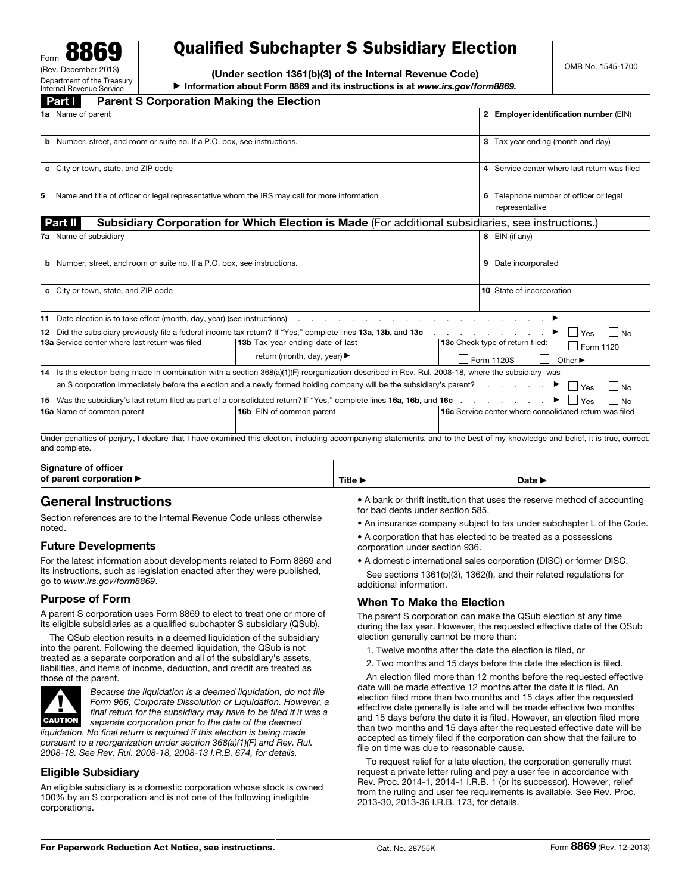Form 8869 (Rev. December Department of the Treasury Internal Revenue Service

# Qualified Subchapter S Subsidiary Election

(Under section 1361(b)(3) of the Internal Revenue Code) ▶ Information about Form 8869 and its instructions is at *www.irs.gov/form8869.*

|   | <b>Parent S Corporation Making the Election</b><br><b>Part I</b>                                                                                  |                                                                                                                                                                              |                                                          |                                                               |  |  |  |  |
|---|---------------------------------------------------------------------------------------------------------------------------------------------------|------------------------------------------------------------------------------------------------------------------------------------------------------------------------------|----------------------------------------------------------|---------------------------------------------------------------|--|--|--|--|
|   | 1a Name of parent                                                                                                                                 |                                                                                                                                                                              |                                                          | 2 Employer identification number (EIN)                        |  |  |  |  |
|   | <b>b</b> Number, street, and room or suite no. If a P.O. box, see instructions.                                                                   |                                                                                                                                                                              | 3 Tax year ending (month and day)                        |                                                               |  |  |  |  |
|   | c City or town, state, and ZIP code                                                                                                               |                                                                                                                                                                              | 4 Service center where last return was filed             |                                                               |  |  |  |  |
| 5 | Name and title of officer or legal representative whom the IRS may call for more information                                                      |                                                                                                                                                                              | 6 Telephone number of officer or legal<br>representative |                                                               |  |  |  |  |
|   | <b>Part II</b>                                                                                                                                    | Subsidiary Corporation for Which Election is Made (For additional subsidiaries, see instructions.)                                                                           |                                                          |                                                               |  |  |  |  |
|   | 7a Name of subsidiary                                                                                                                             |                                                                                                                                                                              | 8 EIN (if any)                                           |                                                               |  |  |  |  |
|   | <b>b</b> Number, street, and room or suite no. If a P.O. box, see instructions.                                                                   |                                                                                                                                                                              | 9 Date incorporated                                      |                                                               |  |  |  |  |
|   | c City or town, state, and ZIP code                                                                                                               |                                                                                                                                                                              | 10 State of incorporation                                |                                                               |  |  |  |  |
|   | 11 Date election is to take effect (month, day, year) (see instructions)                                                                          | the contract of the contract of the contract of the contract of the contract of the contract of                                                                              |                                                          |                                                               |  |  |  |  |
|   |                                                                                                                                                   | 12 Did the subsidiary previously file a federal income tax return? If "Yes," complete lines 13a, 13b, and 13c                                                                |                                                          | l No<br>Yes                                                   |  |  |  |  |
|   | 13a Service center where last return was filed                                                                                                    | 13b Tax year ending date of last                                                                                                                                             |                                                          | 13c Check type of return filed:<br>Form 1120                  |  |  |  |  |
|   |                                                                                                                                                   | return (month, day, year) ▶                                                                                                                                                  | Form 1120S<br>Other $\blacktriangleright$                |                                                               |  |  |  |  |
|   | 14 Is this election being made in combination with a section 368(a)(1)(F) reorganization described in Rev. Rul. 2008-18, where the subsidiary was |                                                                                                                                                                              |                                                          |                                                               |  |  |  |  |
|   |                                                                                                                                                   | an S corporation immediately before the election and a newly formed holding company will be the subsidiary's parent?                                                         |                                                          | Yes<br><b>No</b>                                              |  |  |  |  |
|   |                                                                                                                                                   |                                                                                                                                                                              |                                                          | <b>No</b><br>Yes                                              |  |  |  |  |
|   | 16a Name of common parent                                                                                                                         | 16b EIN of common parent                                                                                                                                                     |                                                          | <b>16c</b> Service center where consolidated return was filed |  |  |  |  |
|   |                                                                                                                                                   | Under penalties of periury. I declare that I have examined this election, including accompanying statements, and to the best of my knowledge and belief, it is true, correct |                                                          |                                                               |  |  |  |  |

Under penalties of perjury, I declare that I have examined this election, including accompanying statements, and to the best of my knowledge and belief, it is true, correct, and complete.

| <b>Signature of officer</b>                 |         |        |
|---------------------------------------------|---------|--------|
| of parent corporation $\blacktriangleright$ | Title L | Date L |
|                                             |         |        |

# General Instructions

Section references are to the Internal Revenue Code unless otherwise noted.

# Future Developments

For the latest information about developments related to Form 8869 and its instructions, such as legislation enacted after they were published, go to *www.irs.gov/form8869*.

# Purpose of Form

A parent S corporation uses Form 8869 to elect to treat one or more of its eligible subsidiaries as a qualified subchapter S subsidiary (QSub).

The QSub election results in a deemed liquidation of the subsidiary into the parent. Following the deemed liquidation, the QSub is not treated as a separate corporation and all of the subsidiary's assets, liabilities, and items of income, deduction, and credit are treated as those of the parent.



*Because the liquidation is a deemed liquidation, do not file Form 966, Corporate Dissolution or Liquidation. However, a final return for the subsidiary may have to be filed if it was a separate corporation prior to the date of the deemed liquidation. No final return is required if this election is being made* 

*pursuant to a reorganization under section 368(a)(1)(F) and Rev. Rul. 2008-18. See Rev. Rul. 2008-18, 2008-13 I.R.B. 674, for details.* 

# Eligible Subsidiary

An eligible subsidiary is a domestic corporation whose stock is owned 100% by an S corporation and is not one of the following ineligible corporations.

• A bank or thrift institution that uses the reserve method of accounting for bad debts under section 585.

• An insurance company subject to tax under subchapter L of the Code.

• A corporation that has elected to be treated as a possessions corporation under section 936.

• A domestic international sales corporation (DISC) or former DISC. See sections 1361(b)(3), 1362(f), and their related regulations for additional information.

# When To Make the Election

The parent S corporation can make the QSub election at any time during the tax year. However, the requested effective date of the QSub election generally cannot be more than:

- 1. Twelve months after the date the election is filed, or
- 2. Two months and 15 days before the date the election is filed.

An election filed more than 12 months before the requested effective date will be made effective 12 months after the date it is filed. An election filed more than two months and 15 days after the requested effective date generally is late and will be made effective two months and 15 days before the date it is filed. However, an election filed more than two months and 15 days after the requested effective date will be accepted as timely filed if the corporation can show that the failure to file on time was due to reasonable cause.

To request relief for a late election, the corporation generally must request a private letter ruling and pay a user fee in accordance with Rev. Proc. 2014-1, 2014-1 I.R.B. 1 (or its successor). However, relief from the ruling and user fee requirements is available. See Rev. Proc. 2013-30, 2013-36 I.R.B. 173, for details.